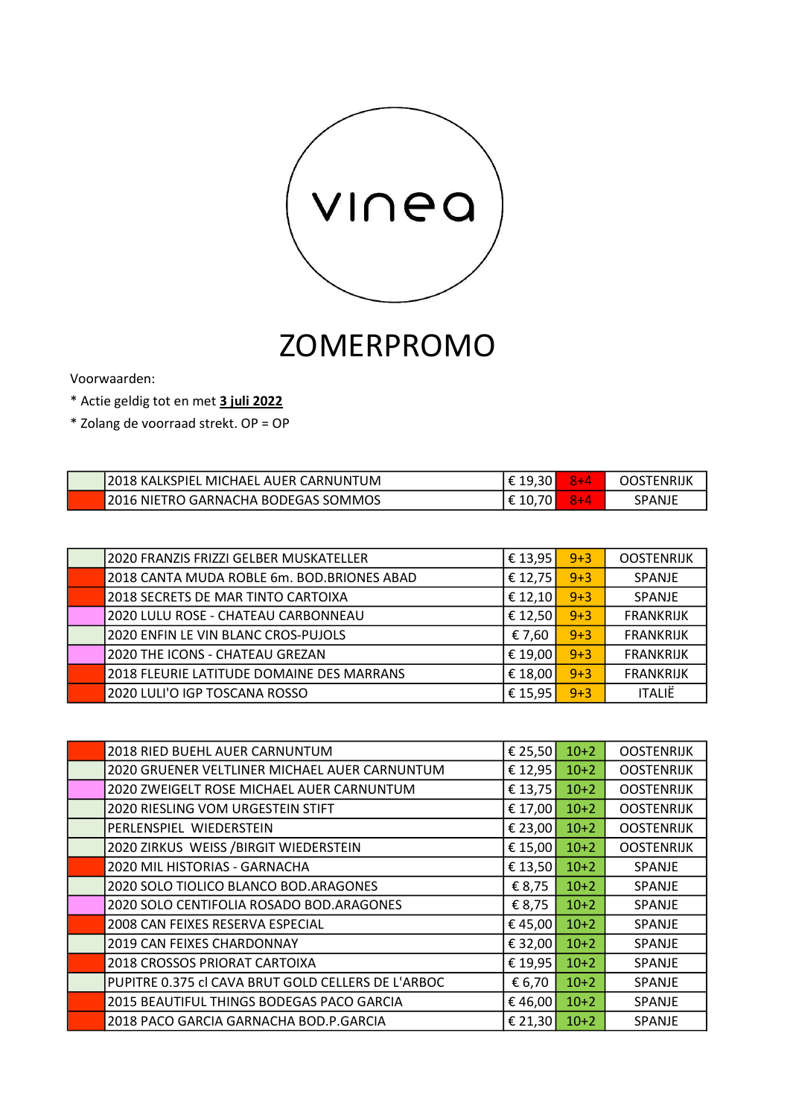

## ZOMERPROMO

Voorwaarden:

\* Actie geldig tot en met 3 juli 2022

\* Zolang de voorraad strekt. OP = OP

| 12018 KALKSPIEL MICHAEL AUER CARNUNTUM      | . ט | TNRIJK |
|---------------------------------------------|-----|--------|
| <b>12016 NIETRO GARNACHA BODEGAS SOMMOS</b> | 10. | SPANJF |

| 2020 FRANZIS FRIZZI GELBER MUSKATELLER     | € 13,95 | $9 + 3$ | <b>OOSTENRIJK</b> |
|--------------------------------------------|---------|---------|-------------------|
| 2018 CANTA MUDA ROBLE 6m. BOD.BRIONES ABAD | € 12,75 | $9 + 3$ | <b>SPANJE</b>     |
| 2018 SECRETS DE MAR TINTO CARTOIXA         | € 12,10 | $9 + 3$ | SPANJE            |
| 2020 LULU ROSE - CHATEAU CARBONNEAU        | € 12,50 | $9 + 3$ | <b>FRANKRIJK</b>  |
| 2020 ENFIN LE VIN BLANC CROS-PUJOLS        | € 7,60  | $9 + 3$ | <b>FRANKRIJK</b>  |
| 2020 THE ICONS - CHATEAU GREZAN            | € 19,00 | $9 + 3$ | <b>FRANKRIJK</b>  |
| 2018 FLEURIE LATITUDE DOMAINE DES MARRANS  | € 18,00 | $9 + 3$ | <b>FRANKRIJK</b>  |
| 2020 LULI'O IGP TOSCANA ROSSO              | € 15,95 | $9 + 3$ | <b>ITALIË</b>     |

| 2018 RIED BUEHL AUER CARNUNTUM                     | € 25,50 | $10+2$ | <b>OOSTENRIJK</b> |
|----------------------------------------------------|---------|--------|-------------------|
|                                                    |         |        |                   |
| 2020 GRUENER VELTLINER MICHAEL AUER CARNUNTUM      | € 12,95 | $10+2$ | <b>OOSTENRIJK</b> |
| 2020 ZWEIGELT ROSE MICHAEL AUER CARNUNTUM          | € 13,75 | $10+2$ | <b>OOSTENRIJK</b> |
| 2020 RIESLING VOM URGESTEIN STIFT                  | € 17,00 | $10+2$ | <b>OOSTENRIJK</b> |
| PERLENSPIEL WIEDERSTEIN                            | € 23,00 | $10+2$ | <b>OOSTENRIJK</b> |
| 2020 ZIRKUS WEISS / BIRGIT WIEDERSTEIN             | € 15,00 | $10+2$ | <b>OOSTENRIJK</b> |
| 2020 MIL HISTORIAS - GARNACHA                      | € 13,50 | $10+2$ | <b>SPANJE</b>     |
| 2020 SOLO TIOLICO BLANCO BOD. ARAGONES             | € 8,75  | $10+2$ | <b>SPANJE</b>     |
| 2020 SOLO CENTIFOLIA ROSADO BOD. ARAGONES          | € 8,75  | $10+2$ | <b>SPANJE</b>     |
| 2008 CAN FEIXES RESERVA ESPECIAL                   | €45,00  | $10+2$ | <b>SPANJE</b>     |
| <b>2019 CAN FEIXES CHARDONNAY</b>                  | € 32,00 | $10+2$ | SPANJE            |
| 2018 CROSSOS PRIORAT CARTOIXA                      | € 19,95 | $10+2$ | <b>SPANJE</b>     |
| PUPITRE 0.375 cl CAVA BRUT GOLD CELLERS DE L'ARBOC | € 6,70  | $10+2$ | <b>SPANJE</b>     |
| 2015 BEAUTIFUL THINGS BODEGAS PACO GARCIA          | €46,00  | $10+2$ | SPANJE            |
| 2018 PACO GARCIA GARNACHA BOD.P.GARCIA             | € 21,30 | $10+2$ | SPANJE            |